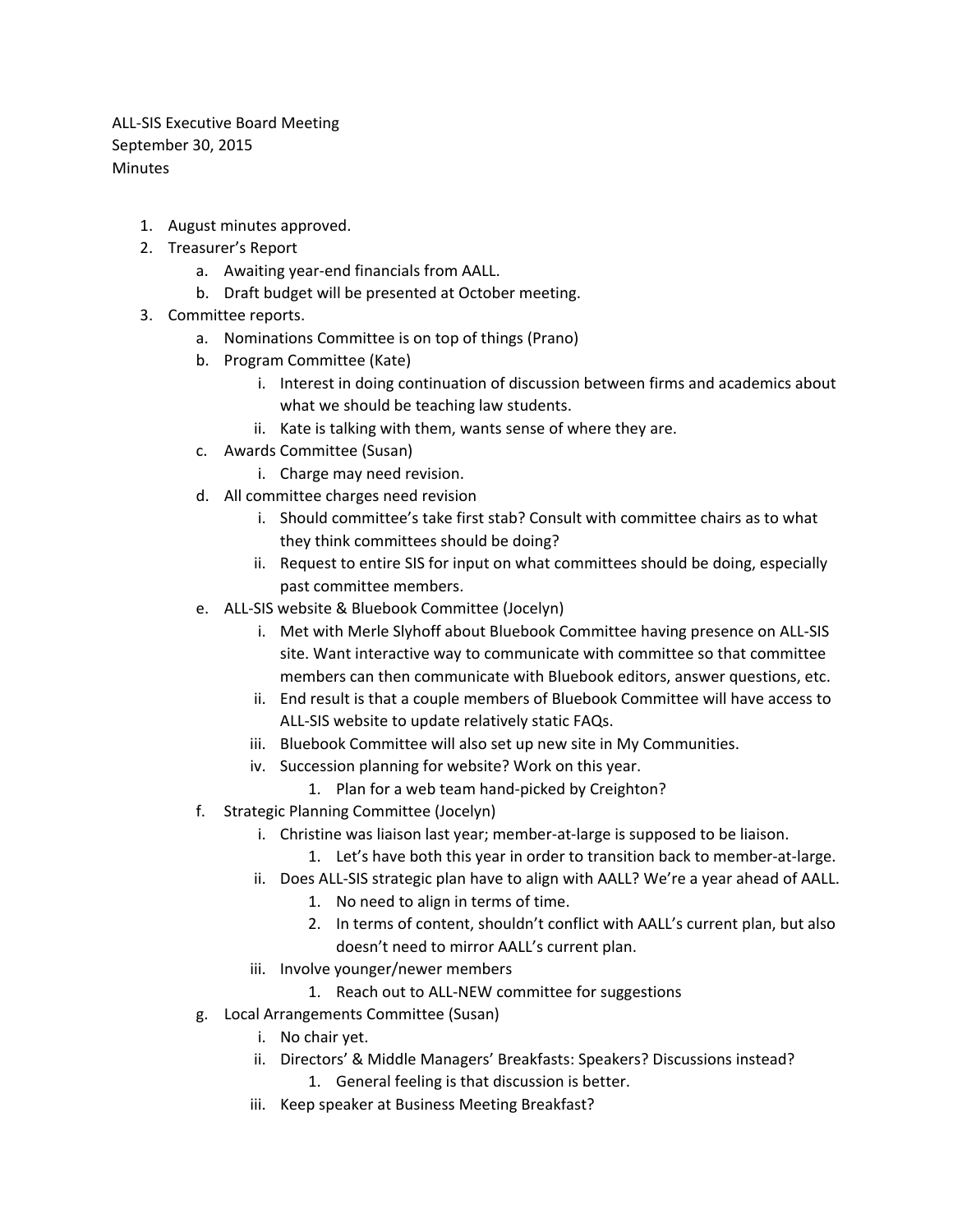ALL-SIS Executive Board Meeting September 30, 2015 Minutes

- 1. August minutes approved.
- 2. Treasurer's Report
	- a. Awaiting year-end financials from AALL.
	- b. Draft budget will be presented at October meeting.
- 3. Committee reports.
	- a. Nominations Committee is on top of things (Prano)
	- b. Program Committee (Kate)
		- i. Interest in doing continuation of discussion between firms and academics about what we should be teaching law students.
		- ii. Kate is talking with them, wants sense of where they are.
	- c. Awards Committee (Susan)
		- i. Charge may need revision.
	- d. All committee charges need revision
		- i. Should committee's take first stab? Consult with committee chairs as to what they think committees should be doing?
		- ii. Request to entire SIS for input on what committees should be doing, especially past committee members.
	- e. ALL-SIS website & Bluebook Committee (Jocelyn)
		- i. Met with Merle Slyhoff about Bluebook Committee having presence on ALL-SIS site. Want interactive way to communicate with committee so that committee members can then communicate with Bluebook editors, answer questions, etc.
		- ii. End result is that a couple members of Bluebook Committee will have access to ALL-SIS website to update relatively static FAQs.
		- iii. Bluebook Committee will also set up new site in My Communities.
		- iv. Succession planning for website? Work on this year.
			- 1. Plan for a web team hand-picked by Creighton?
	- f. Strategic Planning Committee (Jocelyn)
		- i. Christine was liaison last year; member-at-large is supposed to be liaison.
			- 1. Let's have both this year in order to transition back to member-at-large.
		- ii. Does ALL-SIS strategic plan have to align with AALL? We're a year ahead of AALL.
			- 1. No need to align in terms of time.
			- 2. In terms of content, shouldn't conflict with AALL's current plan, but also doesn't need to mirror AALL's current plan.
		- iii. Involve younger/newer members
			- 1. Reach out to ALL-NEW committee for suggestions
	- g. Local Arrangements Committee (Susan)
		- i. No chair yet.
		- ii. Directors' & Middle Managers' Breakfasts: Speakers? Discussions instead?
			- 1. General feeling is that discussion is better.
		- iii. Keep speaker at Business Meeting Breakfast?